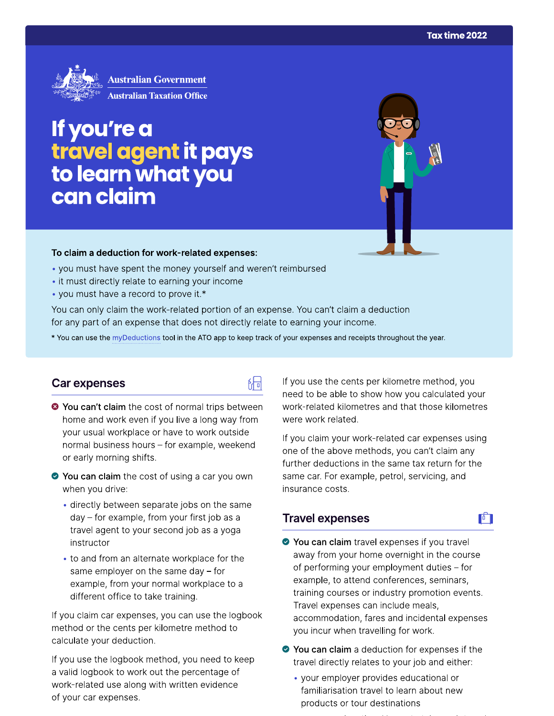

# **IT you're a**  to learn what you can claim **to learn claim**<br> **Can claim a deduction for work-related expenses:**<br>
• you must have spent the money yourself and weren't reimbursed<br>
• it must directly relate to earning your income<br>
• you can only claim the work-related

- 
- 
- 

品

### Car expenses

- <sup>●</sup> You can't claim the cost of normal trips between home and work even if you live a long way from your usual workplace or have to work outside normal business hours - for example, weekend or early morning shifts.
- ◆ You can claim the cost of using a car you own when you drive:
	- directly between separate jobs on the same day – for example, from your first job as a travel agent to your second job as a yoga instructor
	- to and from an alternate workplace for the same employer on the same day  $-$  for example, from your normal workplace to a different office to take training.

If you claim car expenses, you can use the logbook method or the cents per kilometre method to calculate your deduction.

If you use the logbook method, you need to keep a valid logbook to work out the percentage of work-related use along with written evidence of your car expenses.

If you use the cents per kilometre method, you need to be able to show how you calculated your work-related kilometres and that those kilometres were work related.

If you claim your work-related car expenses using one of the above methods, you can't claim any further deductions in the same tax return for the same car. For example, petrol, servicing, and insurance costs.

 $\mathbf{F}$ 

## **Travel expenses**

- ◆ You can claim travel expenses if you travel away from your home overnight in the course of performing your employment duties  $-$  for example, to attend conferences, seminars, training courses or industry promotion events. Travel expenses can include meals, accommodation, fares and incidental expenses you incur when travelling for work.
- ◆ You can claim a deduction for expenses if the travel directly relates to your job and either:
	- your employer provides educational or familiarisation travel to learn about new products or tour destinations
		-